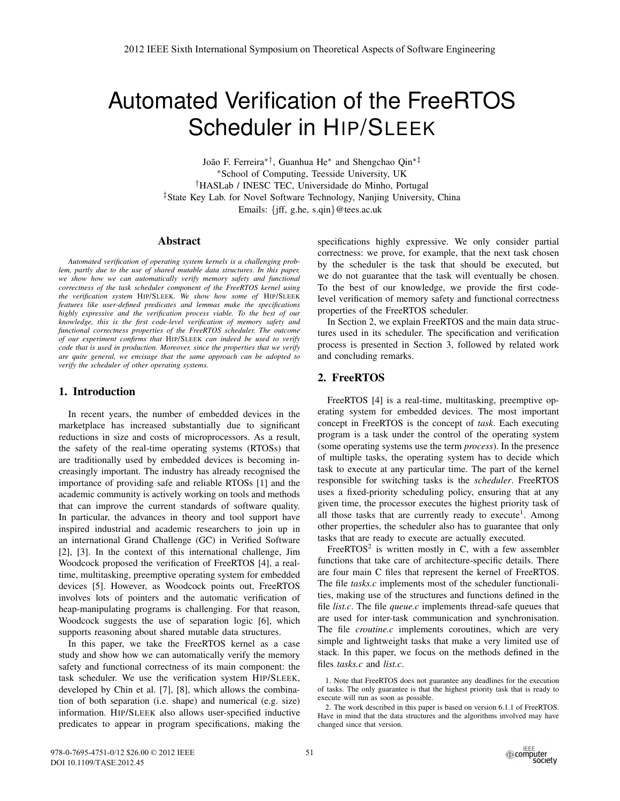# Automated Verification of the FreeRTOS Scheduler in HIP/SLEEK

João F. Ferreira<sup>\*†</sup>, Guanhua He<sup>\*</sup> and Shengchao Qin<sup>\*‡</sup> <sup>∗</sup>School of Computing, Teesside University, UK †HASLab / INESC TEC, Universidade do Minho, Portugal ‡State Key Lab. for Novel Software Technology, Nanjing University, China Emails: {jff, g.he, s.qin}@tees.ac.uk

## Abstract

*Automated verification of operating system kernels is a challenging problem, partly due to the use of shared mutable data structures. In this paper, we show how we can automatically verify memory safety and functional correctness of the task scheduler component of the FreeRTOS kernel using the verification system* HIP/SLEEK*. We show how some of* HIP/SLEEK *features like user-defined predicates and lemmas make the specifications highly expressive and the verification process viable. To the best of our knowledge, this is the first code-level verification of memory safety and functional correctness properties of the FreeRTOS scheduler. The outcome of our experiment confirms that* HIP/SLEEK *can indeed be used to verify code that is used in production. Moreover, since the properties that we verify are quite general, we envisage that the same approach can be adopted to verify the scheduler of other operating systems.*

# 1. Introduction

In recent years, the number of embedded devices in the marketplace has increased substantially due to significant reductions in size and costs of microprocessors. As a result, the safety of the real-time operating systems (RTOSs) that are traditionally used by embedded devices is becoming increasingly important. The industry has already recognised the importance of providing safe and reliable RTOSs [1] and the academic community is actively working on tools and methods that can improve the current standards of software quality. In particular, the advances in theory and tool support have inspired industrial and academic researchers to join up in an international Grand Challenge (GC) in Verified Software [2], [3]. In the context of this international challenge, Jim Woodcock proposed the verification of FreeRTOS [4], a realtime, multitasking, preemptive operating system for embedded devices [5]. However, as Woodcock points out, FreeRTOS involves lots of pointers and the automatic verification of heap-manipulating programs is challenging. For that reason, Woodcock suggests the use of separation logic [6], which supports reasoning about shared mutable data structures.

In this paper, we take the FreeRTOS kernel as a case study and show how we can automatically verify the memory safety and functional correctness of its main component: the task scheduler. We use the verification system HIP/SLEEK, developed by Chin et al. [7], [8], which allows the combination of both separation (i.e. shape) and numerical (e.g. size) information. HIP/SLEEK also allows user-specified inductive predicates to appear in program specifications, making the specifications highly expressive. We only consider partial correctness: we prove, for example, that the next task chosen by the scheduler is the task that should be executed, but we do not guarantee that the task will eventually be chosen. To the best of our knowledge, we provide the first codelevel verification of memory safety and functional correctness properties of the FreeRTOS scheduler.

In Section 2, we explain FreeRTOS and the main data structures used in its scheduler. The specification and verification process is presented in Section 3, followed by related work and concluding remarks.

# 2. FreeRTOS

FreeRTOS [4] is a real-time, multitasking, preemptive operating system for embedded devices. The most important concept in FreeRTOS is the concept of *task*. Each executing program is a task under the control of the operating system (some operating systems use the term *process*). In the presence of multiple tasks, the operating system has to decide which task to execute at any particular time. The part of the kernel responsible for switching tasks is the *scheduler*. FreeRTOS uses a fixed-priority scheduling policy, ensuring that at any given time, the processor executes the highest priority task of all those tasks that are currently ready to execute<sup>1</sup>. Among other properties, the scheduler also has to guarantee that only tasks that are ready to execute are actually executed.

FreeRTOS<sup>2</sup> is written mostly in C, with a few assembler functions that take care of architecture-specific details. There are four main C files that represent the kernel of FreeRTOS. The file *tasks.c* implements most of the scheduler functionalities, making use of the structures and functions defined in the file *list.c*. The file *queue.c* implements thread-safe queues that are used for inter-task communication and synchronisation. The file *croutine.c* implements coroutines, which are very simple and lightweight tasks that make a very limited use of stack. In this paper, we focus on the methods defined in the files *tasks.c* and *list.c*.

<sup>1.</sup> Note that FreeRTOS does not guarantee any deadlines for the execution of tasks. The only guarantee is that the highest priority task that is ready to execute will run as soon as possible.

<sup>2.</sup> The work described in this paper is based on version 6.1.1 of FreeRTOS. Have in mind that the data structures and the algorithms involved may have changed since that version.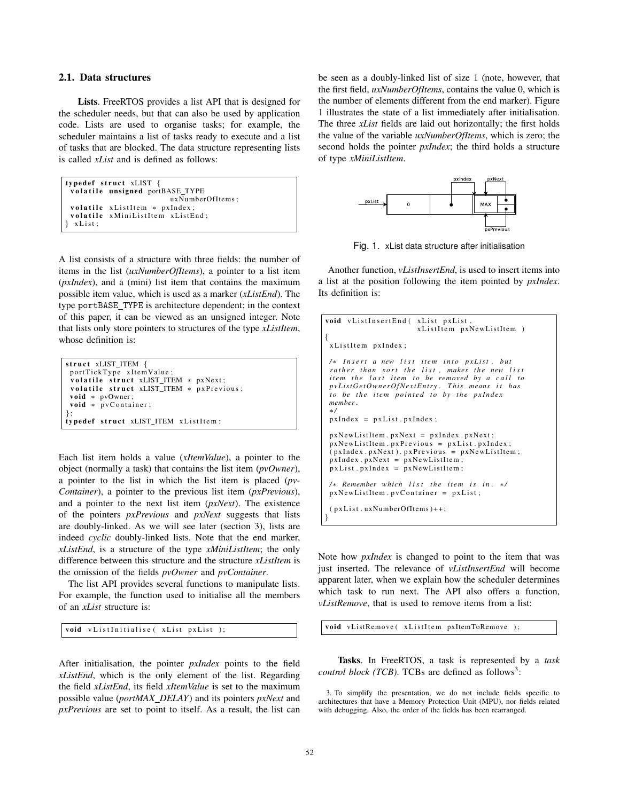# 2.1. Data structures

Lists. FreeRTOS provides a list API that is designed for the scheduler needs, but that can also be used by application code. Lists are used to organise tasks; for example, the scheduler maintains a list of tasks ready to execute and a list of tasks that are blocked. The data structure representing lists is called *xList* and is defined as follows:

```
typedef struct xLISTvolatile unsigned portBASE TYPE
                         uxNumberOfItems ;
 volatile xListItem * pxIndex;
 volatile xMiniListItem xListEnd ;
 } xList ;
```
A list consists of a structure with three fields: the number of items in the list (*uxNumberOfItems*), a pointer to a list item (*pxIndex*), and a (mini) list item that contains the maximum possible item value, which is used as a marker (*xListEnd*). The type portBASE TYPE is architecture dependent; in the context of this paper, it can be viewed as an unsigned integer. Note that lists only store pointers to structures of the type *xListItem*, whose definition is:

```
struct xLIST ITEM
portTickType xItemValue ;
 volatile struct xLIST_ITEM * pxNext;
 volatile struct xLIST_ITEM * pxPrevious;
void * pvOwner;
void ∗ pvContainer ;
};
typedef struct xLIST_ITEM xListItem;
```
Each list item holds a value (*xItemValue*), a pointer to the object (normally a task) that contains the list item (*pvOwner*), a pointer to the list in which the list item is placed (*pv-Container*), a pointer to the previous list item (*pxPrevious*), and a pointer to the next list item (*pxNext*). The existence of the pointers *pxPrevious* and *pxNext* suggests that lists are doubly-linked. As we will see later (section 3), lists are indeed *cyclic* doubly-linked lists. Note that the end marker, *xListEnd*, is a structure of the type *xMiniListItem*; the only difference between this structure and the structure *xListItem* is the omission of the fields *pvOwner* and *pvContainer*.

The list API provides several functions to manipulate lists. For example, the function used to initialise all the members of an *xList* structure is:

void vListInitialise ( xList pxList );

After initialisation, the pointer *pxIndex* points to the field *xListEnd*, which is the only element of the list. Regarding the field *xListEnd*, its field *xItemValue* is set to the maximum possible value (*portMAX DELAY*) and its pointers *pxNext* and *pxPrevious* are set to point to itself. As a result, the list can be seen as a doubly-linked list of size 1 (note, however, that the first field, *uxNumberOfItems*, contains the value 0, which is the number of elements different from the end marker). Figure 1 illustrates the state of a list immediately after initialisation. The three *xList* fields are laid out horizontally; the first holds the value of the variable *uxNumberOfItems*, which is zero; the second holds the pointer *pxIndex*; the third holds a structure of type *xMiniListItem*.



Fig. 1. xList data structure after initialisation

Another function, *vListInsertEnd*, is used to insert items into a list at the position following the item pointed by *pxIndex*. Its definition is:

```
void vListInsertEnd ( xList pxList,
                       xListItem pxNewListItem )
{
xListItem pxIndex ;
/∗ I n s e rt a new l i s t item i nt o pxList , but
rather than sort the list, makes the new list
item the l a st item to be removed by a call to
pvListGetOwnerOfNextEntry. This means it has
to be the item pointed to by the pxIndex
member .
 ∗/
pxIndex = pxList . pxIndex ;
pxNewListItem . pxNext = pxIndex . pxNext ;
pxNewListItem . pxPrevious = pxList . pxIndex ;
( pxIndex . pxNext ). pxPrevious = pxNewListItem ;
 pxIndex . pxNext = pxNewListItem ;
 pxList . pxIndex = pxNewListItem ;
/∗ Remember which li st the item is in . ∗/
pxNewListItem . pvContainer = pxList ;
 ( pxList . uxNumberOfItems )++;
}
```
Note how *pxIndex* is changed to point to the item that was just inserted. The relevance of *vListInsertEnd* will become apparent later, when we explain how the scheduler determines which task to run next. The API also offers a function, *vListRemove*, that is used to remove items from a list:

void vListRemove ( xListItem pxItemToRemove );

Tasks. In FreeRTOS, a task is represented by a *task control block (TCB)*. TCBs are defined as follows<sup>3</sup>:

3. To simplify the presentation, we do not include fields specific to architectures that have a Memory Protection Unit (MPU), nor fields related with debugging. Also, the order of the fields has been rearranged.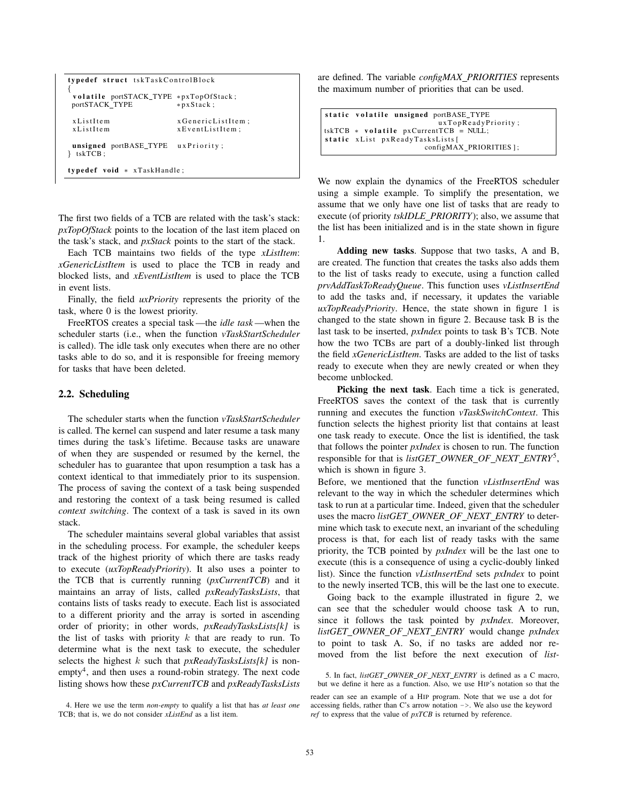```
typedef struct tskTaskControlBlock
{
 volatile portSTACK TYPE ∗ pxTopOfStack ;
 portSTACK TYPE ∗ pxStack ;
xListItem xGenericListItem ;
xListItem xEventListItem;
unsigned portBASE_TYPE ux Priority;
} tskTCB ;
typedef void ∗ xTaskHandle ;
```
The first two fields of a TCB are related with the task's stack: *pxTopOfStack* points to the location of the last item placed on the task's stack, and *pxStack* points to the start of the stack.

Each TCB maintains two fields of the type *xListItem*: *xGenericListItem* is used to place the TCB in ready and blocked lists, and *xEventListItem* is used to place the TCB in event lists.

Finally, the field *uxPriority* represents the priority of the task, where 0 is the lowest priority.

FreeRTOS creates a special task—the *idle task* —when the scheduler starts (i.e., when the function *vTaskStartScheduler* is called). The idle task only executes when there are no other tasks able to do so, and it is responsible for freeing memory for tasks that have been deleted.

## 2.2. Scheduling

The scheduler starts when the function *vTaskStartScheduler* is called. The kernel can suspend and later resume a task many times during the task's lifetime. Because tasks are unaware of when they are suspended or resumed by the kernel, the scheduler has to guarantee that upon resumption a task has a context identical to that immediately prior to its suspension. The process of saving the context of a task being suspended and restoring the context of a task being resumed is called *context switching*. The context of a task is saved in its own stack.

The scheduler maintains several global variables that assist in the scheduling process. For example, the scheduler keeps track of the highest priority of which there are tasks ready to execute (*uxTopReadyPriority*). It also uses a pointer to the TCB that is currently running (*pxCurrentTCB*) and it maintains an array of lists, called *pxReadyTasksLists*, that contains lists of tasks ready to execute. Each list is associated to a different priority and the array is sorted in ascending order of priority; in other words, *pxReadyTasksLists[k]* is the list of tasks with priority  $k$  that are ready to run. To determine what is the next task to execute, the scheduler selects the highest k such that *pxReadyTasksLists[k]* is non $empty<sup>4</sup>$ , and then uses a round-robin strategy. The next code listing shows how these *pxCurrentTCB* and *pxReadyTasksLists*

4. Here we use the term *non-empty* to qualify a list that has *at least one* TCB; that is, we do not consider *xListEnd* as a list item.

are defined. The variable *configMAX PRIORITIES* represents the maximum number of priorities that can be used.

| static volatile unsigned portBASE_TYPE   |
|------------------------------------------|
| uxTopReadvPriority;                      |
| $tskTCB * volatile pxCurrentTCB = NULL;$ |
| static xList pxReadyTasksLists           |
| configMAX PRIORITIES 1:                  |
|                                          |

We now explain the dynamics of the FreeRTOS scheduler using a simple example. To simplify the presentation, we assume that we only have one list of tasks that are ready to execute (of priority *tskIDLE PRIORITY*); also, we assume that the list has been initialized and is in the state shown in figure 1.

Adding new tasks. Suppose that two tasks, A and B, are created. The function that creates the tasks also adds them to the list of tasks ready to execute, using a function called *prvAddTaskToReadyQueue*. This function uses *vListInsertEnd* to add the tasks and, if necessary, it updates the variable *uxTopReadyPriority*. Hence, the state shown in figure 1 is changed to the state shown in figure 2. Because task B is the last task to be inserted, *pxIndex* points to task B's TCB. Note how the two TCBs are part of a doubly-linked list through the field *xGenericListItem*. Tasks are added to the list of tasks ready to execute when they are newly created or when they become unblocked.

Picking the next task. Each time a tick is generated, FreeRTOS saves the context of the task that is currently running and executes the function *vTaskSwitchContext*. This function selects the highest priority list that contains at least one task ready to execute. Once the list is identified, the task that follows the pointer *pxIndex* is chosen to run. The function responsible for that is *listGET OWNER OF NEXT ENTRY*5, which is shown in figure 3.

Before, we mentioned that the function *vListInsertEnd* was relevant to the way in which the scheduler determines which task to run at a particular time. Indeed, given that the scheduler uses the macro *listGET OWNER OF NEXT ENTRY* to determine which task to execute next, an invariant of the scheduling process is that, for each list of ready tasks with the same priority, the TCB pointed by *pxIndex* will be the last one to execute (this is a consequence of using a cyclic-doubly linked list). Since the function *vListInsertEnd* sets *pxIndex* to point to the newly inserted TCB, this will be the last one to execute.

Going back to the example illustrated in figure 2, we can see that the scheduler would choose task A to run, since it follows the task pointed by *pxIndex*. Moreover, *listGET OWNER OF NEXT ENTRY* would change *pxIndex* to point to task A. So, if no tasks are added nor removed from the list before the next execution of *list-*

5. In fact, *listGET OWNER OF NEXT ENTRY* is defined as a C macro, but we define it here as a function. Also, we use HIP's notation so that the

reader can see an example of a HIP program. Note that we use a dot for accessing fields, rather than C's arrow notation  $\rightarrow$ . We also use the keyword *ref* to express that the value of *pxTCB* is returned by reference.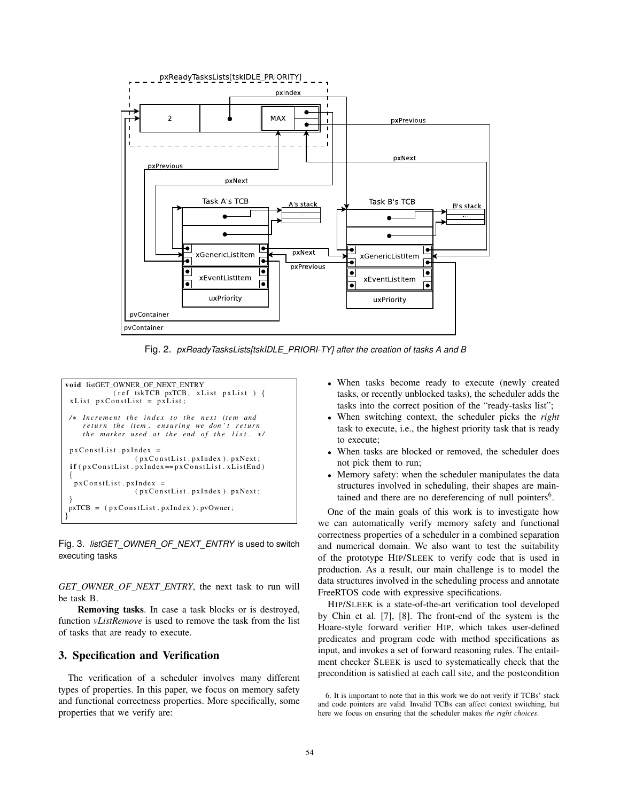

Fig. 2. *pxReadyTasksLists[tskIDLE PRIORI-TY] after the creation of tasks A and B*



Fig. 3. *listGET OWNER OF NEXT ENTRY* is used to switch executing tasks

*GET OWNER OF NEXT ENTRY*, the next task to run will be task B.

Removing tasks. In case a task blocks or is destroyed, function *vListRemove* is used to remove the task from the list of tasks that are ready to execute.

# 3. Specification and Verification

The verification of a scheduler involves many different types of properties. In this paper, we focus on memory safety and functional correctness properties. More specifically, some properties that we verify are:

- When tasks become ready to execute (newly created tasks, or recently unblocked tasks), the scheduler adds the tasks into the correct position of the "ready-tasks list";
- When switching context, the scheduler picks the *right* task to execute, i.e., the highest priority task that is ready to execute;
- When tasks are blocked or removed, the scheduler does not pick them to run;
- Memory safety: when the scheduler manipulates the data structures involved in scheduling, their shapes are maintained and there are no dereferencing of null pointers $6$ .

One of the main goals of this work is to investigate how we can automatically verify memory safety and functional correctness properties of a scheduler in a combined separation and numerical domain. We also want to test the suitability of the prototype HIP/SLEEK to verify code that is used in production. As a result, our main challenge is to model the data structures involved in the scheduling process and annotate FreeRTOS code with expressive specifications.

HIP/SLEEK is a state-of-the-art verification tool developed by Chin et al. [7], [8]. The front-end of the system is the Hoare-style forward verifier HIP, which takes user-defined predicates and program code with method specifications as input, and invokes a set of forward reasoning rules. The entailment checker SLEEK is used to systematically check that the precondition is satisfied at each call site, and the postcondition

<sup>6.</sup> It is important to note that in this work we do not verify if TCBs' stack and code pointers are valid. Invalid TCBs can affect context switching, but here we focus on ensuring that the scheduler makes *the right choices*.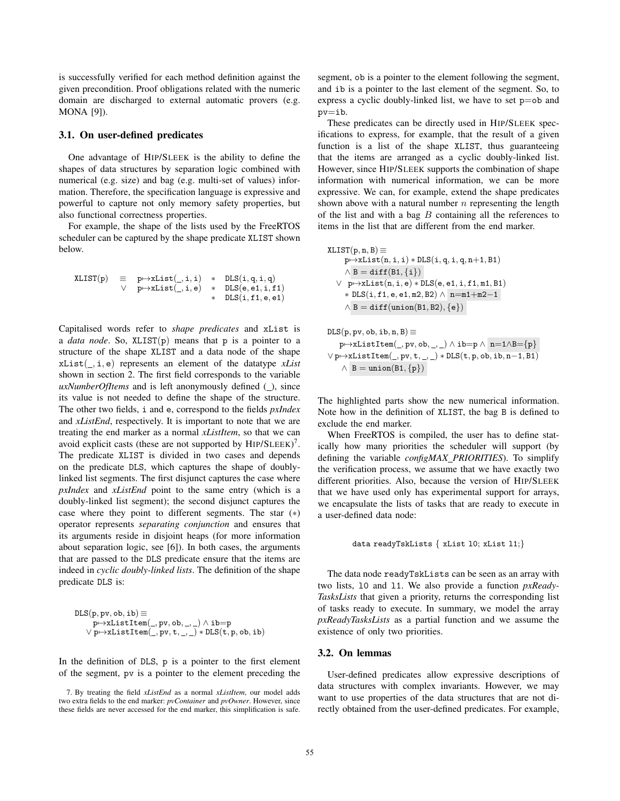is successfully verified for each method definition against the given precondition. Proof obligations related with the numeric domain are discharged to external automatic provers (e.g. MONA [9]).

## 3.1. On user-defined predicates

One advantage of HIP/SLEEK is the ability to define the shapes of data structures by separation logic combined with numerical (e.g. size) and bag (e.g. multi-set of values) information. Therefore, the specification language is expressive and powerful to capture not only memory safety properties, but also functional correctness properties.

For example, the shape of the lists used by the FreeRTOS scheduler can be captured by the shape predicate XLIST shown below.

$$
\begin{array}{lclcl} \texttt{XLIST(p)} & \equiv & p \!\!\mapsto \!\! \texttt{xList(}_,i,i) & * & \!\! \texttt{DLS(}i,q,i,q) \\ & \vee & p \!\!\mapsto \!\! \texttt{xList(}_,i,e) & * & \!\! \texttt{DLS(e,e1,i,f1)} \\ & & * & \!\! \texttt{DLS(i,f1,e,e1)} \end{array}
$$

Capitalised words refer to *shape predicates* and xList is a *data node*. So, XLIST(p) means that p is a pointer to a structure of the shape XLIST and a data node of the shape xList( , i, e) represents an element of the datatype *xList* shown in section 2. The first field corresponds to the variable *uxNumberOfItems* and is left anonymously defined (\_), since its value is not needed to define the shape of the structure. The other two fields, i and e, correspond to the fields *pxIndex* and *xListEnd*, respectively. It is important to note that we are treating the end marker as a normal *xListItem*, so that we can avoid explicit casts (these are not supported by  $HIP/SLEEK)^7$ . The predicate XLIST is divided in two cases and depends on the predicate DLS, which captures the shape of doublylinked list segments. The first disjunct captures the case where *pxIndex* and *xListEnd* point to the same entry (which is a doubly-linked list segment); the second disjunct captures the case where they point to different segments. The star (∗) operator represents *separating conjunction* and ensures that its arguments reside in disjoint heaps (for more information about separation logic, see [6]). In both cases, the arguments that are passed to the DLS predicate ensure that the items are indeed in *cyclic doubly-linked lists*. The definition of the shape predicate DLS is:

```
\text{DLS}(p, pv, ob, ib) \equivp \mapsto xListItem(\_, pv, ob, \_, \_) \wedge ib=p\lor p\mapstoxListItem(, pv, t, ) * DLS(t, p, ob, ib)
```
In the definition of DLS, p is a pointer to the first element of the segment, pv is a pointer to the element preceding the

segment, ob is a pointer to the element following the segment, and ib is a pointer to the last element of the segment. So, to express a cyclic doubly-linked list, we have to set p=ob and pv=ib.

These predicates can be directly used in HIP/SLEEK specifications to express, for example, that the result of a given function is a list of the shape XLIST, thus guaranteeing that the items are arranged as a cyclic doubly-linked list. However, since HIP/SLEEK supports the combination of shape information with numerical information, we can be more expressive. We can, for example, extend the shape predicates shown above with a natural number  $n$  representing the length of the list and with a bag  $B$  containing all the references to items in the list that are different from the end marker.

$$
\begin{aligned} &\texttt{XLIST(p,n,B)}\equiv\\ &p\!\mapsto\!\texttt{xList(n,i,i)} * \texttt{DLS(i,q,i,q,n+1,B1)}\\ &\land B = \texttt{diff(B1},\{i\})\\ &\lor p\!\mapsto\!\texttt{xList(n,i,e)} * \texttt{DLS(e,e1,i,f1,m1,B1)}\\ &* \texttt{DLS(i,f1,e,e1,m2,B2)} \land \texttt{n=m1+m2-1}\\ &\land B = \texttt{diff(union(B1,B2),\{e\}}) \end{aligned}
$$

 $DLS(p, pv, ob, ib, n, B) \equiv$  $p \mapsto xListItem(\_, pv, ob, \_, \_) \wedge ib=p \wedge n=1 \wedge B=\{p\}$  $\lor p \!\mapsto\! \texttt{xListItem}(\_,p v,t,\_,\_) * \texttt{DLS}(t,p,ob,ib,n-1,B1)$  $\land$  B = union(B1, {p})

The highlighted parts show the new numerical information. Note how in the definition of XLIST, the bag B is defined to exclude the end marker.

When FreeRTOS is compiled, the user has to define statically how many priorities the scheduler will support (by defining the variable *configMAX PRIORITIES*). To simplify the verification process, we assume that we have exactly two different priorities. Also, because the version of HIP/SLEEK that we have used only has experimental support for arrays, we encapsulate the lists of tasks that are ready to execute in a user-defined data node:

```
data readyTskLists { xList l0; xList l1;}
```
The data node readyTskLists can be seen as an array with two lists, l0 and l1. We also provide a function *pxReady-TasksLists* that given a priority, returns the corresponding list of tasks ready to execute. In summary, we model the array *pxReadyTasksLists* as a partial function and we assume the existence of only two priorities.

#### 3.2. On lemmas

User-defined predicates allow expressive descriptions of data structures with complex invariants. However, we may want to use properties of the data structures that are not directly obtained from the user-defined predicates. For example,

<sup>7.</sup> By treating the field *xListEnd* as a normal *xListItem*, our model adds two extra fields to the end marker: *pvContainer* and *pvOwner*. However, since these fields are never accessed for the end marker, this simplification is safe.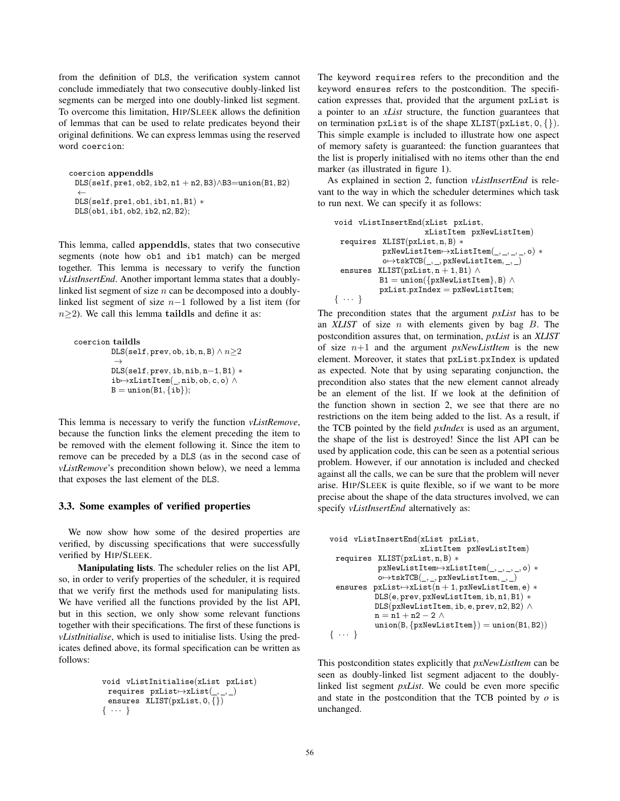from the definition of DLS, the verification system cannot conclude immediately that two consecutive doubly-linked list segments can be merged into one doubly-linked list segment. To overcome this limitation, HIP/SLEEK allows the definition of lemmas that can be used to relate predicates beyond their original definitions. We can express lemmas using the reserved word coercion:

```
coercion appenddls
 DIS(self, \overline{pre1, ob2, ib2, n1 + n2, B3}) \wedge B3 = union(B1, B2)←
 DLS(self, pre1, ob1, ib1, n1, B1) ∗
 DLS(ob1, ib1, ob2, ib2, n2, B2);
```
This lemma, called **appenddls**, states that two consecutive segments (note how ob1 and ib1 match) can be merged together. This lemma is necessary to verify the function *vListInsertEnd*. Another important lemma states that a doublylinked list segment of size  $n$  can be decomposed into a doublylinked list segment of size  $n-1$  followed by a list item (for n≥2). We call this lemma **taildls** and define it as:

```
coercion taildls
           DLS(self, prev, ob, ib, n, B) \land n \geq 2\rightarrowDLS(self, prev, ib, nib, n−1, B1) ∗
           ib \mapsto xListItem(\_,nib,ob,c,o) \wedgeB = union(B1, \{ib\});
```
This lemma is necessary to verify the function *vListRemove*, because the function links the element preceding the item to be removed with the element following it. Since the item to remove can be preceded by a DLS (as in the second case of *vListRemove*'s precondition shown below), we need a lemma that exposes the last element of the DLS.

#### 3.3. Some examples of verified properties

We now show how some of the desired properties are verified, by discussing specifications that were successfully verified by HIP/SLEEK.

Manipulating lists. The scheduler relies on the list API, so, in order to verify properties of the scheduler, it is required that we verify first the methods used for manipulating lists. We have verified all the functions provided by the list API, but in this section, we only show some relevant functions together with their specifications. The first of these functions is *vListInitialise*, which is used to initialise lists. Using the predicates defined above, its formal specification can be written as follows:

```
void vListInitialise(xList pxList)
 requires pxList\mapsto xList(\_,\_,\_)ensures XLIST(pxList, 0, {})
{ ··· }
```
The keyword requires refers to the precondition and the keyword ensures refers to the postcondition. The specification expresses that, provided that the argument pxList is a pointer to an *xList* structure, the function guarantees that on termination pxList is of the shape  $XLIST(pxList, 0, \{\})$ . This simple example is included to illustrate how one aspect of memory safety is guaranteed: the function guarantees that the list is properly initialised with no items other than the end marker (as illustrated in figure 1).

As explained in section 2, function *vListInsertEnd* is relevant to the way in which the scheduler determines which task to run next. We can specify it as follows:

```
void vListInsertEnd(xList pxList,
                            xListItem pxNewListItem)
 requires XLIST(pxList, n, B) ∗
              \texttt{pxNewListItem}{\longleftrightarrow}\texttt{xListItem}{\color{orange}(\_,\_,\_,\_,\,)}*o \mapsto \text{tskTCB}(\_,\_,\text{pxNewListItem},\_,\_)ensures XLIST(pxList, n + 1, B1) \wedgeB1 = union({p x New ListItem}, B) \wedgepxList.pyIndex = pxNewListItem;{ ··· }
```
The precondition states that the argument *pxList* has to be an *XLIST* of size n with elements given by bag B. The postcondition assures that, on termination, *pxList* is an *XLIST* of size n+1 and the argument *pxNewListItem* is the new element. Moreover, it states that pxList.pxIndex is updated as expected. Note that by using separating conjunction, the precondition also states that the new element cannot already be an element of the list. If we look at the definition of the function shown in section 2, we see that there are no restrictions on the item being added to the list. As a result, if the TCB pointed by the field *pxIndex* is used as an argument, the shape of the list is destroyed! Since the list API can be used by application code, this can be seen as a potential serious problem. However, if our annotation is included and checked against all the calls, we can be sure that the problem will never arise. HIP/SLEEK is quite flexible, so if we want to be more precise about the shape of the data structures involved, we can specify *vListInsertEnd* alternatively as:

```
void vListInsertEnd(xList pxList,
                          xListItem pxNewListItem)
 requires XLIST(pxList, n, B) ∗
              pxNewListItem\rightarrow xListItem(\_,\_,\_,\_,\ o) *
              \circ \!\!\mapsto \!\! \texttt{tskTCB}(\_,\_,\texttt{pxNewListItem},\_,\_)ensures pxList\mapsto xList(n+1, pxNewListItem, e) *DLS(e, prev, pxNewListItem, ib, n1, B1) ∗
            DLS(pxNewListItem, ib, e, prev, n2, B2) ∧
            n = n1 + n2 - 2 \wedgeunion(B, \{pxNewListItem\}) = union(B1, B2)){ ··· }
```
This postcondition states explicitly that *pxNewListItem* can be seen as doubly-linked list segment adjacent to the doublylinked list segment *pxList*. We could be even more specific and state in the postcondition that the TCB pointed by *o* is unchanged.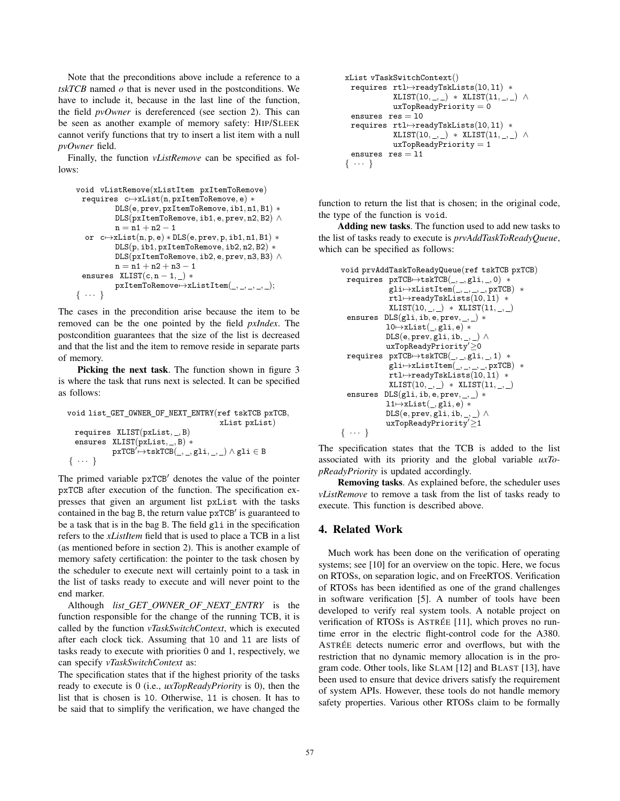Note that the preconditions above include a reference to a *tskTCB* named *o* that is never used in the postconditions. We have to include it, because in the last line of the function, the field *pvOwner* is dereferenced (see section 2). This can be seen as another example of memory safety: HIP/SLEEK cannot verify functions that try to insert a list item with a null *pvOwner* field.

Finally, the function *vListRemove* can be specified as follows:

```
void vListRemove(xListItem pxItemToRemove)
 requires c→xList(n, pxItemToRemove, e) ∗
           DLS(e, prev, pxItemToRemove, ib1, n1, B1) ∗
           DLS(pxItemToRemove, ib1, e, prev, n2, B2) ∧
           n = n1 + n2 - 1or c \mapsto xList(n, p, e) * DIS(e, prev, p, ib1, n1, B1) *DLS(p, ib1, pxItemToRemove, ib2, n2, B2) ∗
           DLS(pxItemToRemove, ib2, e, prev, n3, B3) ∧
           \mathtt{n}=\mathtt{n1}+\mathtt{n2}+\mathtt{n3}-\mathtt{1}ensures KLIST(c, n-1, ) *
           \mathtt{pxItemToRemove}\!\!\mapsto\!\!\mathtt{xListItem}(\_,\_,\_,\_,\_) ;{ ··· }
```
The cases in the precondition arise because the item to be removed can be the one pointed by the field *pxIndex*. The postcondition guarantees that the size of the list is decreased and that the list and the item to remove reside in separate parts of memory.

Picking the next task. The function shown in figure 3 is where the task that runs next is selected. It can be specified as follows:

```
void list GET OWNER OF NEXT ENTRY(ref tskTCB pxTCB,
                                                   xList pxList)
  requires KLIST(pxList, , B)ensures KLIST(pxList, , B) *\texttt{pxTCB}^\prime \!\!\mapsto\! \texttt{tskTCB}(\_,\_,\texttt{gli},\_,\_) \land \texttt{gli} \in \texttt{B}{ ··· }
```
The primed variable  $pxTCB'$  denotes the value of the pointer pxTCB after execution of the function. The specification expresses that given an argument list pxList with the tasks contained in the bag B, the return value  $pxTCB'$  is guaranteed to be a task that is in the bag B. The field gli in the specification refers to the *xListItem* field that is used to place a TCB in a list (as mentioned before in section 2). This is another example of memory safety certification: the pointer to the task chosen by the scheduler to execute next will certainly point to a task in the list of tasks ready to execute and will never point to the end marker.

Although *list GET OWNER OF NEXT ENTRY* is the function responsible for the change of the running TCB, it is called by the function *vTaskSwitchContext*, which is executed after each clock tick. Assuming that l0 and l1 are lists of tasks ready to execute with priorities 0 and 1, respectively, we can specify *vTaskSwitchContext* as:

The specification states that if the highest priority of the tasks ready to execute is 0 (i.e., *uxTopReadyPriority* is 0), then the list that is chosen is l0. Otherwise, l1 is chosen. It has to be said that to simplify the verification, we have changed the

```
xList vTaskSwitchContext()
 requires rtl→readyTskLists(l0, l1) ∗
            \texttt{XLIST}(10, ,\_ ) \ * \ \texttt{XLIST}(11, ,\_ ) \ \wedgeuxTopReadyPriority = 0ensures res = 10requires rtl→readyTskLists(l0, l1) ∗
            XLIST(10, , ) * XLIST(11, , ) \wedgeuxTopReadyPriority = 1ensures res = 11{ ··· }
```
function to return the list that is chosen; in the original code, the type of the function is void.

Adding new tasks. The function used to add new tasks to the list of tasks ready to execute is *prvAddTaskToReadyQueue*, which can be specified as follows:

```
void prvAddTaskToReadyQueue(ref tskTCB pxTCB)
 requires pxTCB\mapsto tskTCB(\_,\_,g1i,\_,0) *
                gli\mapsto xListItem(\_,\_,\_,\_,prTCB) *
                rtl→readyTskLists(l0, l1) ∗
                XLIST(10, , ) * XLIST(11, , )ensures DIS(gli, ib, e, prev, ...) *
               10 \rightarrow \text{xList}(\_,\text{gli},\text{e}) *
               \mathtt{DLS}(\mathtt{e}, \mathtt{prev}, \mathtt{gli}, \mathtt{ib}, \_, \_) \land{\tt uxTopReadyPriority'}{\geq}0requires pxTCB \rightarrow tskTCB(\_,\_,gli,\_,1) *g1i\mapsto xListItem(\_,\_,\_,\_},pxTCB) *rtl→readyTskLists(l0, l1) ∗
                XLIST(10, _{-}, _{-}) * XLIST(11, _{-}, _{-})ensures DIS(gli, ib, e, prev, ...) *
               11 \mapsto xList(\_,g1i,e) *\mathtt{DLS}(\mathtt{e}, \mathtt{prev}, \mathtt{gli}, \mathtt{ib}, \_, \_) \land{\tt uxTopReadyPriority'}{\geq}1{ ··· }
```
The specification states that the TCB is added to the list associated with its priority and the global variable *uxTopReadyPriority* is updated accordingly.

Removing tasks. As explained before, the scheduler uses *vListRemove* to remove a task from the list of tasks ready to execute. This function is described above.

# 4. Related Work

Much work has been done on the verification of operating systems; see [10] for an overview on the topic. Here, we focus on RTOSs, on separation logic, and on FreeRTOS. Verification of RTOSs has been identified as one of the grand challenges in software verification [5]. A number of tools have been developed to verify real system tools. A notable project on verification of RTOSs is ASTRÉE<sup>[11]</sup>, which proves no runtime error in the electric flight-control code for the A380. ASTRÉE detects numeric error and overflows, but with the restriction that no dynamic memory allocation is in the program code. Other tools, like SLAM [12] and BLAST [13], have been used to ensure that device drivers satisfy the requirement of system APIs. However, these tools do not handle memory safety properties. Various other RTOSs claim to be formally